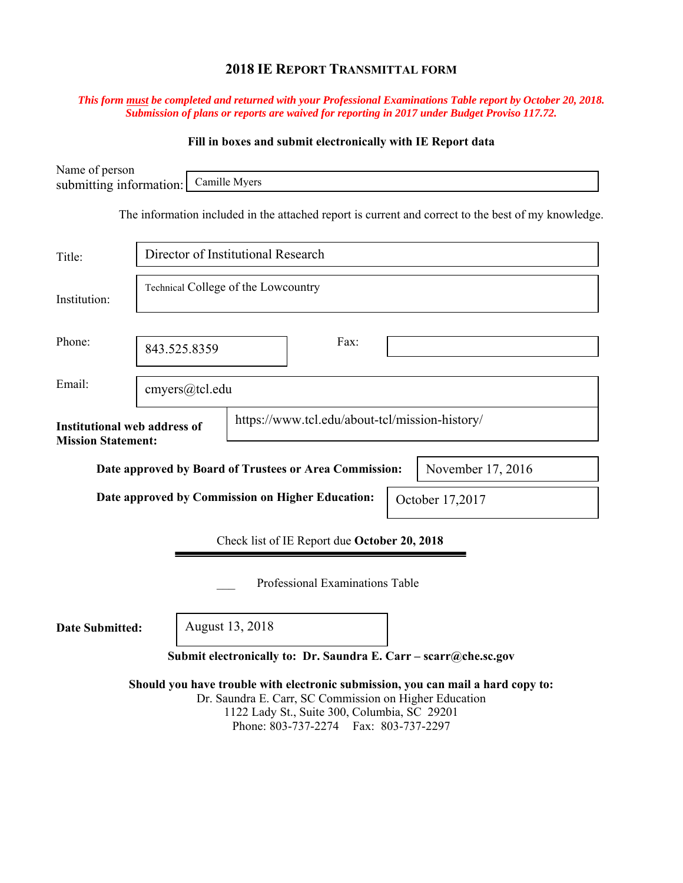# **2018 IE REPORT TRANSMITTAL FORM**

### *This form must be completed and returned with your Professional Examinations Table report by October 20, 2018. Submission of plans or reports are waived for reporting in 2017 under Budget Proviso 117.72.*

## **Fill in boxes and submit electronically with IE Report data**

| Name of person<br>submitting information:                           |                                     | Camille Myers   |                                                                                                                                                 |                                                                                                     |  |  |
|---------------------------------------------------------------------|-------------------------------------|-----------------|-------------------------------------------------------------------------------------------------------------------------------------------------|-----------------------------------------------------------------------------------------------------|--|--|
|                                                                     |                                     |                 |                                                                                                                                                 | The information included in the attached report is current and correct to the best of my knowledge. |  |  |
| Title:                                                              | Director of Institutional Research  |                 |                                                                                                                                                 |                                                                                                     |  |  |
| Institution:                                                        | Technical College of the Lowcountry |                 |                                                                                                                                                 |                                                                                                     |  |  |
| Phone:                                                              | 843.525.8359                        |                 | Fax:                                                                                                                                            |                                                                                                     |  |  |
| Email:                                                              | cmyers@tcl.edu                      |                 |                                                                                                                                                 |                                                                                                     |  |  |
| <b>Institutional web address of</b><br><b>Mission Statement:</b>    |                                     |                 | https://www.tcl.edu/about-tcl/mission-history/                                                                                                  |                                                                                                     |  |  |
|                                                                     |                                     |                 | Date approved by Board of Trustees or Area Commission:                                                                                          | November 17, 2016                                                                                   |  |  |
| Date approved by Commission on Higher Education:<br>October 17,2017 |                                     |                 |                                                                                                                                                 |                                                                                                     |  |  |
| Check list of IE Report due October 20, 2018                        |                                     |                 |                                                                                                                                                 |                                                                                                     |  |  |
|                                                                     |                                     |                 | Professional Examinations Table                                                                                                                 |                                                                                                     |  |  |
| <b>Date Submitted:</b>                                              |                                     | August 13, 2018 |                                                                                                                                                 |                                                                                                     |  |  |
|                                                                     |                                     |                 |                                                                                                                                                 | Submit electronically to: Dr. Saundra E. Carr - scarr@che.sc.gov                                    |  |  |
|                                                                     |                                     |                 | Dr. Saundra E. Carr, SC Commission on Higher Education<br>1122 Lady St., Suite 300, Columbia, SC 29201<br>Phone: 803-737-2274 Fax: 803-737-2297 | Should you have trouble with electronic submission, you can mail a hard copy to:                    |  |  |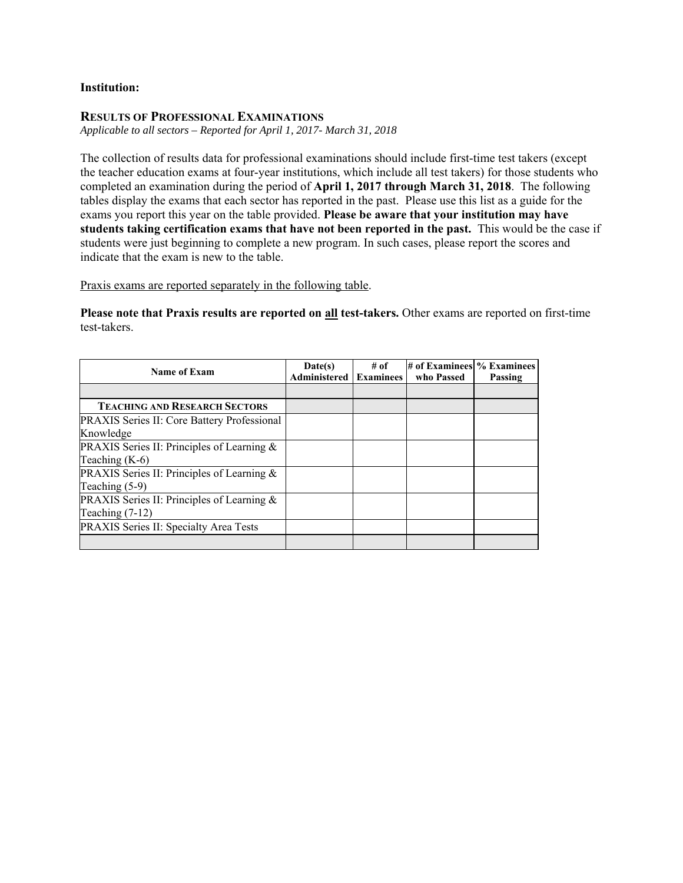### **Institution:**

### **RESULTS OF PROFESSIONAL EXAMINATIONS**

*Applicable to all sectors – Reported for April 1, 2017- March 31, 2018* 

The collection of results data for professional examinations should include first-time test takers (except the teacher education exams at four-year institutions, which include all test takers) for those students who completed an examination during the period of **April 1, 2017 through March 31, 2018**. The following tables display the exams that each sector has reported in the past. Please use this list as a guide for the exams you report this year on the table provided. **Please be aware that your institution may have students taking certification exams that have not been reported in the past.** This would be the case if students were just beginning to complete a new program. In such cases, please report the scores and indicate that the exam is new to the table.

Praxis exams are reported separately in the following table.

**Please note that Praxis results are reported on all test-takers.** Other exams are reported on first-time test-takers.

| <b>Name of Exam</b>                                | Date(s)      | $#$ of           | # of Examinees % Examinees |         |
|----------------------------------------------------|--------------|------------------|----------------------------|---------|
|                                                    | Administered | <b>Examinees</b> | who Passed                 | Passing |
|                                                    |              |                  |                            |         |
| <b>TEACHING AND RESEARCH SECTORS</b>               |              |                  |                            |         |
| <b>PRAXIS Series II: Core Battery Professional</b> |              |                  |                            |         |
| Knowledge                                          |              |                  |                            |         |
| PRAXIS Series II: Principles of Learning &         |              |                  |                            |         |
| Teaching $(K-6)$                                   |              |                  |                            |         |
| PRAXIS Series II: Principles of Learning &         |              |                  |                            |         |
| Teaching $(5-9)$                                   |              |                  |                            |         |
| PRAXIS Series II: Principles of Learning &         |              |                  |                            |         |
| Teaching $(7-12)$                                  |              |                  |                            |         |
| PRAXIS Series II: Specialty Area Tests             |              |                  |                            |         |
|                                                    |              |                  |                            |         |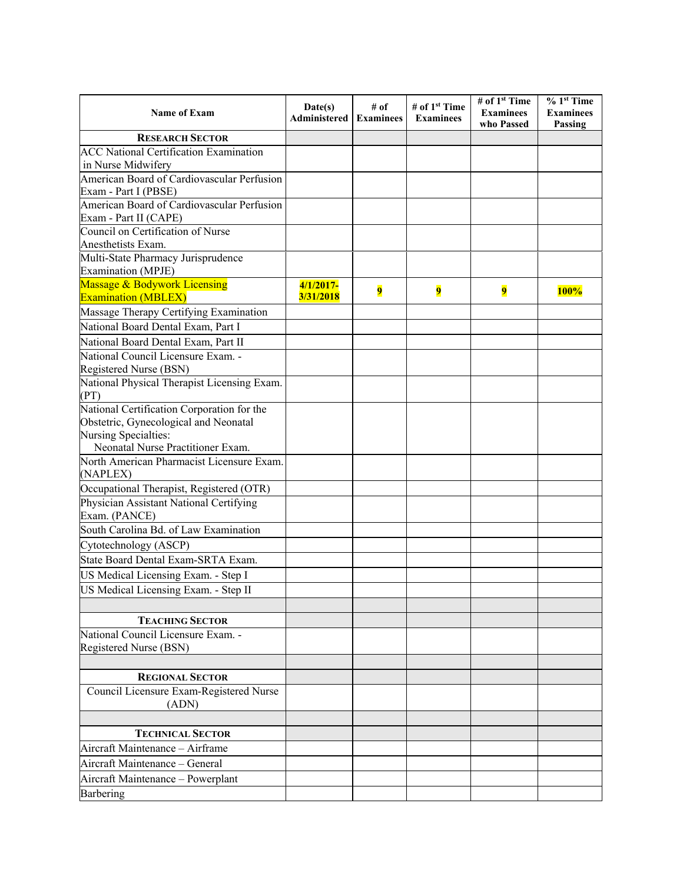| <b>RESEARCH SECTOR</b><br><b>ACC National Certification Examination</b><br>in Nurse Midwifery<br>American Board of Cardiovascular Perfusion<br>Exam - Part I (PBSE)<br>American Board of Cardiovascular Perfusion<br>Council on Certification of Nurse<br>Anesthetists Exam.<br>Multi-State Pharmacy Jurisprudence<br>Massage & Bodywork Licensing<br>$4/1/2017-$<br>9<br>$\overline{\mathbf{9}}$<br>$\overline{\mathbf{9}}$<br><b>100%</b><br>3/31/2018<br>Massage Therapy Certifying Examination<br>National Physical Therapist Licensing Exam.<br>(PT)<br>National Certification Corporation for the<br>Obstetric, Gynecological and Neonatal<br>Nursing Specialties:<br>Neonatal Nurse Practitioner Exam.<br>North American Pharmacist Licensure Exam.<br>(NAPLEX)<br>Occupational Therapist, Registered (OTR)<br>South Carolina Bd. of Law Examination<br><b>TEACHING SECTOR</b><br><b>REGIONAL SECTOR</b><br>Council Licensure Exam-Registered Nurse<br>(ADN)<br><b>TECHNICAL SECTOR</b><br>Aircraft Maintenance - General<br>Aircraft Maintenance - Powerplant | <b>Name of Exam</b>                     | Date(s)<br>Administered | # of<br><b>Examinees</b> | # of 1 <sup>st</sup> Time<br><b>Examinees</b> | # of 1 <sup>st</sup> Time<br><b>Examinees</b><br>who Passed | $% 1st$ Time<br><b>Examinees</b><br>Passing |
|-----------------------------------------------------------------------------------------------------------------------------------------------------------------------------------------------------------------------------------------------------------------------------------------------------------------------------------------------------------------------------------------------------------------------------------------------------------------------------------------------------------------------------------------------------------------------------------------------------------------------------------------------------------------------------------------------------------------------------------------------------------------------------------------------------------------------------------------------------------------------------------------------------------------------------------------------------------------------------------------------------------------------------------------------------------------------|-----------------------------------------|-------------------------|--------------------------|-----------------------------------------------|-------------------------------------------------------------|---------------------------------------------|
|                                                                                                                                                                                                                                                                                                                                                                                                                                                                                                                                                                                                                                                                                                                                                                                                                                                                                                                                                                                                                                                                       |                                         |                         |                          |                                               |                                                             |                                             |
|                                                                                                                                                                                                                                                                                                                                                                                                                                                                                                                                                                                                                                                                                                                                                                                                                                                                                                                                                                                                                                                                       |                                         |                         |                          |                                               |                                                             |                                             |
|                                                                                                                                                                                                                                                                                                                                                                                                                                                                                                                                                                                                                                                                                                                                                                                                                                                                                                                                                                                                                                                                       |                                         |                         |                          |                                               |                                                             |                                             |
|                                                                                                                                                                                                                                                                                                                                                                                                                                                                                                                                                                                                                                                                                                                                                                                                                                                                                                                                                                                                                                                                       |                                         |                         |                          |                                               |                                                             |                                             |
|                                                                                                                                                                                                                                                                                                                                                                                                                                                                                                                                                                                                                                                                                                                                                                                                                                                                                                                                                                                                                                                                       |                                         |                         |                          |                                               |                                                             |                                             |
|                                                                                                                                                                                                                                                                                                                                                                                                                                                                                                                                                                                                                                                                                                                                                                                                                                                                                                                                                                                                                                                                       | Exam - Part II (CAPE)                   |                         |                          |                                               |                                                             |                                             |
|                                                                                                                                                                                                                                                                                                                                                                                                                                                                                                                                                                                                                                                                                                                                                                                                                                                                                                                                                                                                                                                                       |                                         |                         |                          |                                               |                                                             |                                             |
|                                                                                                                                                                                                                                                                                                                                                                                                                                                                                                                                                                                                                                                                                                                                                                                                                                                                                                                                                                                                                                                                       |                                         |                         |                          |                                               |                                                             |                                             |
|                                                                                                                                                                                                                                                                                                                                                                                                                                                                                                                                                                                                                                                                                                                                                                                                                                                                                                                                                                                                                                                                       | <b>Examination</b> (MPJE)               |                         |                          |                                               |                                                             |                                             |
|                                                                                                                                                                                                                                                                                                                                                                                                                                                                                                                                                                                                                                                                                                                                                                                                                                                                                                                                                                                                                                                                       | <b>Examination (MBLEX)</b>              |                         |                          |                                               |                                                             |                                             |
|                                                                                                                                                                                                                                                                                                                                                                                                                                                                                                                                                                                                                                                                                                                                                                                                                                                                                                                                                                                                                                                                       |                                         |                         |                          |                                               |                                                             |                                             |
|                                                                                                                                                                                                                                                                                                                                                                                                                                                                                                                                                                                                                                                                                                                                                                                                                                                                                                                                                                                                                                                                       | National Board Dental Exam, Part I      |                         |                          |                                               |                                                             |                                             |
|                                                                                                                                                                                                                                                                                                                                                                                                                                                                                                                                                                                                                                                                                                                                                                                                                                                                                                                                                                                                                                                                       | National Board Dental Exam, Part II     |                         |                          |                                               |                                                             |                                             |
|                                                                                                                                                                                                                                                                                                                                                                                                                                                                                                                                                                                                                                                                                                                                                                                                                                                                                                                                                                                                                                                                       | National Council Licensure Exam. -      |                         |                          |                                               |                                                             |                                             |
|                                                                                                                                                                                                                                                                                                                                                                                                                                                                                                                                                                                                                                                                                                                                                                                                                                                                                                                                                                                                                                                                       | Registered Nurse (BSN)                  |                         |                          |                                               |                                                             |                                             |
|                                                                                                                                                                                                                                                                                                                                                                                                                                                                                                                                                                                                                                                                                                                                                                                                                                                                                                                                                                                                                                                                       |                                         |                         |                          |                                               |                                                             |                                             |
|                                                                                                                                                                                                                                                                                                                                                                                                                                                                                                                                                                                                                                                                                                                                                                                                                                                                                                                                                                                                                                                                       |                                         |                         |                          |                                               |                                                             |                                             |
|                                                                                                                                                                                                                                                                                                                                                                                                                                                                                                                                                                                                                                                                                                                                                                                                                                                                                                                                                                                                                                                                       |                                         |                         |                          |                                               |                                                             |                                             |
|                                                                                                                                                                                                                                                                                                                                                                                                                                                                                                                                                                                                                                                                                                                                                                                                                                                                                                                                                                                                                                                                       |                                         |                         |                          |                                               |                                                             |                                             |
|                                                                                                                                                                                                                                                                                                                                                                                                                                                                                                                                                                                                                                                                                                                                                                                                                                                                                                                                                                                                                                                                       |                                         |                         |                          |                                               |                                                             |                                             |
|                                                                                                                                                                                                                                                                                                                                                                                                                                                                                                                                                                                                                                                                                                                                                                                                                                                                                                                                                                                                                                                                       |                                         |                         |                          |                                               |                                                             |                                             |
|                                                                                                                                                                                                                                                                                                                                                                                                                                                                                                                                                                                                                                                                                                                                                                                                                                                                                                                                                                                                                                                                       |                                         |                         |                          |                                               |                                                             |                                             |
|                                                                                                                                                                                                                                                                                                                                                                                                                                                                                                                                                                                                                                                                                                                                                                                                                                                                                                                                                                                                                                                                       |                                         |                         |                          |                                               |                                                             |                                             |
|                                                                                                                                                                                                                                                                                                                                                                                                                                                                                                                                                                                                                                                                                                                                                                                                                                                                                                                                                                                                                                                                       | Physician Assistant National Certifying |                         |                          |                                               |                                                             |                                             |
|                                                                                                                                                                                                                                                                                                                                                                                                                                                                                                                                                                                                                                                                                                                                                                                                                                                                                                                                                                                                                                                                       | Exam. (PANCE)                           |                         |                          |                                               |                                                             |                                             |
|                                                                                                                                                                                                                                                                                                                                                                                                                                                                                                                                                                                                                                                                                                                                                                                                                                                                                                                                                                                                                                                                       |                                         |                         |                          |                                               |                                                             |                                             |
|                                                                                                                                                                                                                                                                                                                                                                                                                                                                                                                                                                                                                                                                                                                                                                                                                                                                                                                                                                                                                                                                       | Cytotechnology (ASCP)                   |                         |                          |                                               |                                                             |                                             |
|                                                                                                                                                                                                                                                                                                                                                                                                                                                                                                                                                                                                                                                                                                                                                                                                                                                                                                                                                                                                                                                                       | State Board Dental Exam-SRTA Exam.      |                         |                          |                                               |                                                             |                                             |
|                                                                                                                                                                                                                                                                                                                                                                                                                                                                                                                                                                                                                                                                                                                                                                                                                                                                                                                                                                                                                                                                       | US Medical Licensing Exam. - Step I     |                         |                          |                                               |                                                             |                                             |
|                                                                                                                                                                                                                                                                                                                                                                                                                                                                                                                                                                                                                                                                                                                                                                                                                                                                                                                                                                                                                                                                       | US Medical Licensing Exam. - Step II    |                         |                          |                                               |                                                             |                                             |
|                                                                                                                                                                                                                                                                                                                                                                                                                                                                                                                                                                                                                                                                                                                                                                                                                                                                                                                                                                                                                                                                       |                                         |                         |                          |                                               |                                                             |                                             |
|                                                                                                                                                                                                                                                                                                                                                                                                                                                                                                                                                                                                                                                                                                                                                                                                                                                                                                                                                                                                                                                                       |                                         |                         |                          |                                               |                                                             |                                             |
|                                                                                                                                                                                                                                                                                                                                                                                                                                                                                                                                                                                                                                                                                                                                                                                                                                                                                                                                                                                                                                                                       | National Council Licensure Exam. -      |                         |                          |                                               |                                                             |                                             |
|                                                                                                                                                                                                                                                                                                                                                                                                                                                                                                                                                                                                                                                                                                                                                                                                                                                                                                                                                                                                                                                                       | Registered Nurse (BSN)                  |                         |                          |                                               |                                                             |                                             |
|                                                                                                                                                                                                                                                                                                                                                                                                                                                                                                                                                                                                                                                                                                                                                                                                                                                                                                                                                                                                                                                                       |                                         |                         |                          |                                               |                                                             |                                             |
|                                                                                                                                                                                                                                                                                                                                                                                                                                                                                                                                                                                                                                                                                                                                                                                                                                                                                                                                                                                                                                                                       |                                         |                         |                          |                                               |                                                             |                                             |
|                                                                                                                                                                                                                                                                                                                                                                                                                                                                                                                                                                                                                                                                                                                                                                                                                                                                                                                                                                                                                                                                       |                                         |                         |                          |                                               |                                                             |                                             |
|                                                                                                                                                                                                                                                                                                                                                                                                                                                                                                                                                                                                                                                                                                                                                                                                                                                                                                                                                                                                                                                                       |                                         |                         |                          |                                               |                                                             |                                             |
|                                                                                                                                                                                                                                                                                                                                                                                                                                                                                                                                                                                                                                                                                                                                                                                                                                                                                                                                                                                                                                                                       |                                         |                         |                          |                                               |                                                             |                                             |
|                                                                                                                                                                                                                                                                                                                                                                                                                                                                                                                                                                                                                                                                                                                                                                                                                                                                                                                                                                                                                                                                       |                                         |                         |                          |                                               |                                                             |                                             |
|                                                                                                                                                                                                                                                                                                                                                                                                                                                                                                                                                                                                                                                                                                                                                                                                                                                                                                                                                                                                                                                                       | Aircraft Maintenance - Airframe         |                         |                          |                                               |                                                             |                                             |
|                                                                                                                                                                                                                                                                                                                                                                                                                                                                                                                                                                                                                                                                                                                                                                                                                                                                                                                                                                                                                                                                       |                                         |                         |                          |                                               |                                                             |                                             |
|                                                                                                                                                                                                                                                                                                                                                                                                                                                                                                                                                                                                                                                                                                                                                                                                                                                                                                                                                                                                                                                                       |                                         |                         |                          |                                               |                                                             |                                             |
|                                                                                                                                                                                                                                                                                                                                                                                                                                                                                                                                                                                                                                                                                                                                                                                                                                                                                                                                                                                                                                                                       | Barbering                               |                         |                          |                                               |                                                             |                                             |